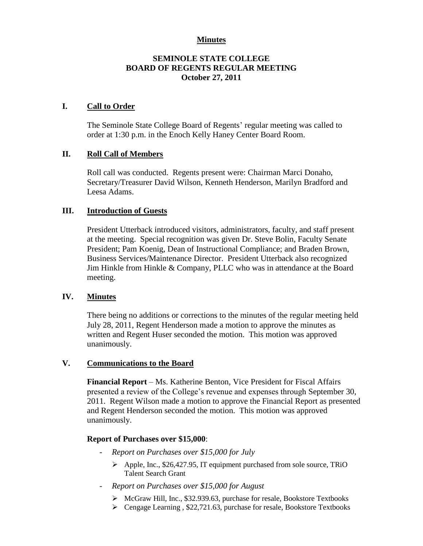## **Minutes**

# **SEMINOLE STATE COLLEGE BOARD OF REGENTS REGULAR MEETING October 27, 2011**

## **I. Call to Order**

The Seminole State College Board of Regents' regular meeting was called to order at 1:30 p.m. in the Enoch Kelly Haney Center Board Room.

# **II. Roll Call of Members**

Roll call was conducted. Regents present were: Chairman Marci Donaho, Secretary/Treasurer David Wilson, Kenneth Henderson, Marilyn Bradford and Leesa Adams.

# **III. Introduction of Guests**

President Utterback introduced visitors, administrators, faculty, and staff present at the meeting. Special recognition was given Dr. Steve Bolin, Faculty Senate President; Pam Koenig, Dean of Instructional Compliance; and Braden Brown, Business Services/Maintenance Director. President Utterback also recognized Jim Hinkle from Hinkle & Company, PLLC who was in attendance at the Board meeting.

# **IV. Minutes**

There being no additions or corrections to the minutes of the regular meeting held July 28, 2011, Regent Henderson made a motion to approve the minutes as written and Regent Huser seconded the motion. This motion was approved unanimously.

#### **V. Communications to the Board**

**Financial Report** – Ms. Katherine Benton, Vice President for Fiscal Affairs presented a review of the College's revenue and expenses through September 30, 2011. Regent Wilson made a motion to approve the Financial Report as presented and Regent Henderson seconded the motion. This motion was approved unanimously.

#### **Report of Purchases over \$15,000**:

- *Report on Purchases over \$15,000 for July*
	- $\triangleright$  Apple, Inc., \$26,427.95, IT equipment purchased from sole source, TRiO Talent Search Grant
- *Report on Purchases over \$15,000 for August*
	- McGraw Hill, Inc., \$32.939.63, purchase for resale, Bookstore Textbooks
	- Cengage Learning , \$22,721.63, purchase for resale, Bookstore Textbooks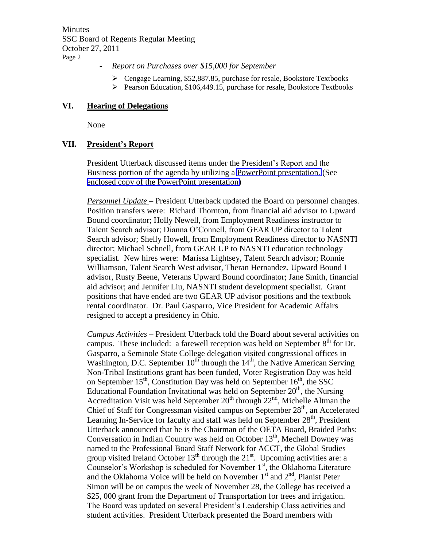**Minutes** SSC Board of Regents Regular Meeting October 27, 2011 Page 2

- *Report on Purchases over \$15,000 for September*

- $\triangleright$  Cengage Learning, \$52,887.85, purchase for resale, Bookstore Textbooks
- Pearson Education, \$106,449.15, purchase for resale, Bookstore Textbooks

## **VI. Hearing of Delegations**

None

#### **VII. President's Report**

President Utterback discussed items under the President's Report and the Business portion of the agenda by utilizing a PowerPoint presentation. (See enclosed copy of the PowerPoint presentation)

*Personnel Update* – President Utterback updated the Board on personnel changes. Position transfers were: Richard Thornton, from financial aid advisor to Upward Bound coordinator; Holly Newell, from Employment Readiness instructor to Talent Search advisor; Dianna O'Connell, from GEAR UP director to Talent Search advisor; Shelly Howell, from Employment Readiness director to NASNTI director; Michael Schnell, from GEAR UP to NASNTI education technology specialist. New hires were: Marissa Lightsey, Talent Search advisor; Ronnie Williamson, Talent Search West advisor, Theran Hernandez, Upward Bound I advisor, Rusty Beene, Veterans Upward Bound coordinator; Jane Smith, financial aid advisor; and Jennifer Liu, NASNTI student development specialist. Grant positions that have ended are two GEAR UP advisor positions and the textbook rental coordinator. Dr. Paul Gasparro, Vice President for Academic Affairs resigned to accept a presidency in Ohio.

*Campus Activities* – President Utterback told the Board about several activities on campus. These included: a farewell reception was held on September  $8<sup>th</sup>$  for Dr. Gasparro, a Seminole State College delegation visited congressional offices in Washington, D.C. September  $10^{th}$  through the  $14^{th}$ , the Native American Serving Non-Tribal Institutions grant has been funded, Voter Registration Day was held on September 15<sup>th</sup>, Constitution Day was held on September  $16<sup>th</sup>$ , the SSC Educational Foundation Invitational was held on September  $20<sup>th</sup>$ , the Nursing Accreditation Visit was held September  $20<sup>th</sup>$  through  $22<sup>nd</sup>$ , Michelle Altman the Chief of Staff for Congressman visited campus on September  $28<sup>th</sup>$ , an Accelerated Learning In-Service for faculty and staff was held on September  $28<sup>th</sup>$ , President Utterback announced that he is the Chairman of the OETA Board, Braided Paths: Conversation in Indian Country was held on October  $13<sup>th</sup>$ , Mechell Downey was named to the Professional Board Staff Network for ACCT, the Global Studies group visited Ireland October  $13<sup>th</sup>$  through the  $21<sup>st</sup>$ . Upcoming activities are: a Counselor's Workshop is scheduled for November  $1<sup>st</sup>$ , the Oklahoma Literature and the Oklahoma Voice will be held on November  $1<sup>st</sup>$  and  $2<sup>nd</sup>$ , Pianist Peter Simon will be on campus the week of November 28, the College has received a \$25, 000 grant from the Department of Transportation for trees and irrigation. The Board was updated on several President's Leadership Class activities and student activities. President Utterback presented the Board members with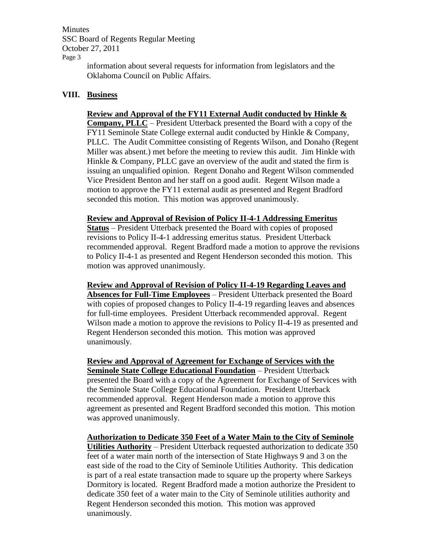**Minutes** SSC Board of Regents Regular Meeting October 27, 2011 Page 3

information about several requests for information from legislators and the Oklahoma Council on Public Affairs.

## **VIII. Business**

## **Review and Approval of the FY11 External Audit conducted by Hinkle &**

**Company, PLLC** – President Utterback presented the Board with a copy of the FY11 Seminole State College external audit conducted by Hinkle & Company, PLLC. The Audit Committee consisting of Regents Wilson, and Donaho (Regent Miller was absent.) met before the meeting to review this audit. Jim Hinkle with Hinkle & Company, PLLC gave an overview of the audit and stated the firm is issuing an unqualified opinion. Regent Donaho and Regent Wilson commended Vice President Benton and her staff on a good audit. Regent Wilson made a motion to approve the FY11 external audit as presented and Regent Bradford seconded this motion. This motion was approved unanimously.

#### **Review and Approval of Revision of Policy II-4-1 Addressing Emeritus**

**Status** – President Utterback presented the Board with copies of proposed revisions to Policy II-4-1 addressing emeritus status. President Utterback recommended approval. Regent Bradford made a motion to approve the revisions to Policy II-4-1 as presented and Regent Henderson seconded this motion. This motion was approved unanimously.

# **Review and Approval of Revision of Policy II-4-19 Regarding Leaves and Absences for Full-Time Employees** – President Utterback presented the Board with copies of proposed changes to Policy II-4-19 regarding leaves and absences for full-time employees. President Utterback recommended approval. Regent Wilson made a motion to approve the revisions to Policy II-4-19 as presented and Regent Henderson seconded this motion. This motion was approved unanimously.

**Review and Approval of Agreement for Exchange of Services with the Seminole State College Educational Foundation** – President Utterback presented the Board with a copy of the Agreement for Exchange of Services with the Seminole State College Educational Foundation. President Utterback recommended approval. Regent Henderson made a motion to approve this agreement as presented and Regent Bradford seconded this motion. This motion was approved unanimously.

**Authorization to Dedicate 350 Feet of a Water Main to the City of Seminole Utilities Authority** – President Utterback requested authorization to dedicate 350 feet of a water main north of the intersection of State Highways 9 and 3 on the east side of the road to the City of Seminole Utilities Authority. This dedication is part of a real estate transaction made to square up the property where Sarkeys Dormitory is located. Regent Bradford made a motion authorize the President to dedicate 350 feet of a water main to the City of Seminole utilities authority and Regent Henderson seconded this motion. This motion was approved unanimously.